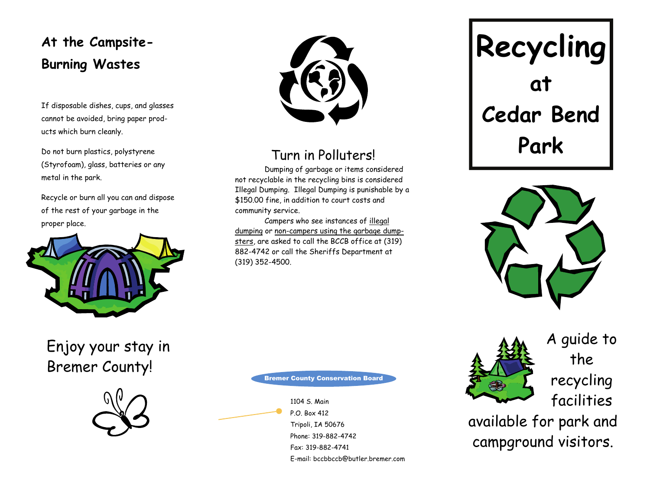## **At the Campsite-Burning Wastes**

If disposable dishes, cups, and glasses cannot be avoided, bring paper products which burn cleanly.

Do not burn plastics, polystyrene (Styrofoam), glass, batteries or any metal in the park.

Recycle or burn all you can and dispose of the rest of your garbage in the proper place.



## Enjoy your stay in Bremer County!





## Turn in Polluters!

 Dumping of garbage or items considered not recyclable in the recycling bins is considered Illegal Dumping. Illegal Dumping is punishable by a \$150.00 fine, in addition to court costs and community service.

 Campers who see instances of illegal dumping or non-campers using the garbage dumpsters, are asked to call the BCCB office at (319) 882-4742 or call the Sheriffs Department at (319) 352-4500.

# **Recycling at Cedar Bend Park**





A guide to the recycling facilities

available for park and campground visitors.

#### Bremer County Conservation Board

1104 S. Main P.O. Box 412 Tripoli, IA 50676 Phone: 319-882-4742 Fax: 319-882-4741 E-mail: bccbbccb@butler.bremer.com